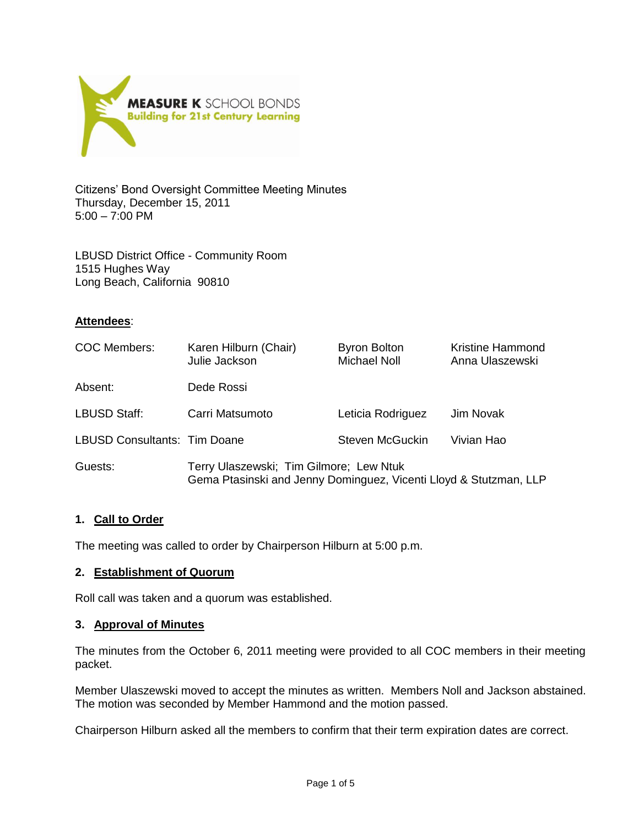

Citizens' Bond Oversight Committee Meeting Minutes Thursday, December 15, 2011 5:00 – 7:00 PM

LBUSD District Office - Community Room 1515 Hughes Way Long Beach, California 90810

## **Attendees**:

| <b>COC Members:</b>          | Karen Hilburn (Chair)<br>Julie Jackson                                                                       | <b>Byron Bolton</b><br><b>Michael Noll</b> | <b>Kristine Hammond</b><br>Anna Ulaszewski |
|------------------------------|--------------------------------------------------------------------------------------------------------------|--------------------------------------------|--------------------------------------------|
| Absent:                      | Dede Rossi                                                                                                   |                                            |                                            |
| <b>LBUSD Staff:</b>          | Carri Matsumoto                                                                                              | Leticia Rodriguez                          | Jim Novak                                  |
| LBUSD Consultants: Tim Doane |                                                                                                              | Steven McGuckin                            | Vivian Hao                                 |
| Guests:                      | Terry Ulaszewski; Tim Gilmore; Lew Ntuk<br>Gema Ptasinski and Jenny Dominguez, Vicenti Lloyd & Stutzman, LLP |                                            |                                            |

## **1. Call to Order**

The meeting was called to order by Chairperson Hilburn at 5:00 p.m.

## **2. Establishment of Quorum**

Roll call was taken and a quorum was established.

## **3. Approval of Minutes**

The minutes from the October 6, 2011 meeting were provided to all COC members in their meeting packet.

Member Ulaszewski moved to accept the minutes as written. Members Noll and Jackson abstained. The motion was seconded by Member Hammond and the motion passed.

Chairperson Hilburn asked all the members to confirm that their term expiration dates are correct.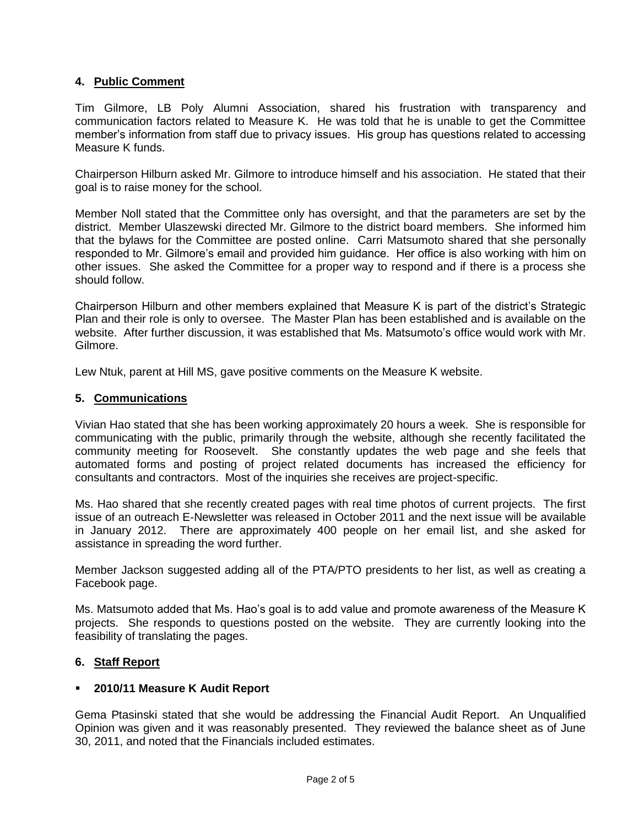## **4. Public Comment**

Tim Gilmore, LB Poly Alumni Association, shared his frustration with transparency and communication factors related to Measure K. He was told that he is unable to get the Committee member's information from staff due to privacy issues. His group has questions related to accessing Measure K funds.

Chairperson Hilburn asked Mr. Gilmore to introduce himself and his association. He stated that their goal is to raise money for the school.

Member Noll stated that the Committee only has oversight, and that the parameters are set by the district. Member Ulaszewski directed Mr. Gilmore to the district board members. She informed him that the bylaws for the Committee are posted online. Carri Matsumoto shared that she personally responded to Mr. Gilmore's email and provided him guidance. Her office is also working with him on other issues. She asked the Committee for a proper way to respond and if there is a process she should follow.

Chairperson Hilburn and other members explained that Measure K is part of the district's Strategic Plan and their role is only to oversee. The Master Plan has been established and is available on the website. After further discussion, it was established that Ms. Matsumoto's office would work with Mr. Gilmore.

Lew Ntuk, parent at Hill MS, gave positive comments on the Measure K website.

## **5. Communications**

Vivian Hao stated that she has been working approximately 20 hours a week. She is responsible for communicating with the public, primarily through the website, although she recently facilitated the community meeting for Roosevelt. She constantly updates the web page and she feels that automated forms and posting of project related documents has increased the efficiency for consultants and contractors. Most of the inquiries she receives are project-specific.

Ms. Hao shared that she recently created pages with real time photos of current projects. The first issue of an outreach E-Newsletter was released in October 2011 and the next issue will be available in January 2012. There are approximately 400 people on her email list, and she asked for assistance in spreading the word further.

Member Jackson suggested adding all of the PTA/PTO presidents to her list, as well as creating a Facebook page.

Ms. Matsumoto added that Ms. Hao's goal is to add value and promote awareness of the Measure K projects. She responds to questions posted on the website. They are currently looking into the feasibility of translating the pages.

## **6. Staff Report**

## **2010/11 Measure K Audit Report**

Gema Ptasinski stated that she would be addressing the Financial Audit Report. An Unqualified Opinion was given and it was reasonably presented. They reviewed the balance sheet as of June 30, 2011, and noted that the Financials included estimates.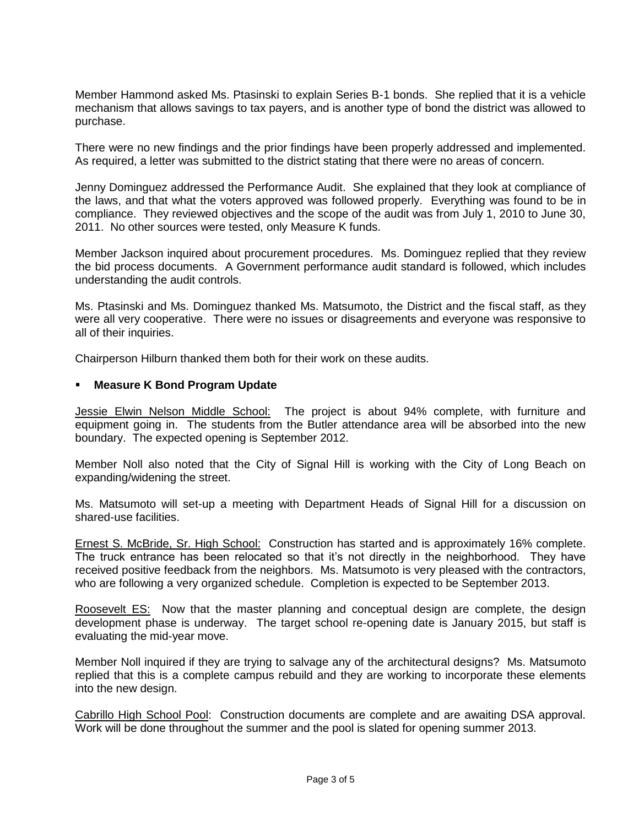Member Hammond asked Ms. Ptasinski to explain Series B-1 bonds. She replied that it is a vehicle mechanism that allows savings to tax payers, and is another type of bond the district was allowed to purchase.

There were no new findings and the prior findings have been properly addressed and implemented. As required, a letter was submitted to the district stating that there were no areas of concern.

Jenny Dominguez addressed the Performance Audit. She explained that they look at compliance of the laws, and that what the voters approved was followed properly. Everything was found to be in compliance. They reviewed objectives and the scope of the audit was from July 1, 2010 to June 30, 2011. No other sources were tested, only Measure K funds.

Member Jackson inquired about procurement procedures. Ms. Dominguez replied that they review the bid process documents. A Government performance audit standard is followed, which includes understanding the audit controls.

Ms. Ptasinski and Ms. Dominguez thanked Ms. Matsumoto, the District and the fiscal staff, as they were all very cooperative. There were no issues or disagreements and everyone was responsive to all of their inquiries.

Chairperson Hilburn thanked them both for their work on these audits.

## **Measure K Bond Program Update**

Jessie Elwin Nelson Middle School: The project is about 94% complete, with furniture and equipment going in. The students from the Butler attendance area will be absorbed into the new boundary. The expected opening is September 2012.

Member Noll also noted that the City of Signal Hill is working with the City of Long Beach on expanding/widening the street.

Ms. Matsumoto will set-up a meeting with Department Heads of Signal Hill for a discussion on shared-use facilities.

Ernest S. McBride, Sr. High School: Construction has started and is approximately 16% complete. The truck entrance has been relocated so that it's not directly in the neighborhood. They have received positive feedback from the neighbors. Ms. Matsumoto is very pleased with the contractors, who are following a very organized schedule. Completion is expected to be September 2013.

Roosevelt ES: Now that the master planning and conceptual design are complete, the design development phase is underway. The target school re-opening date is January 2015, but staff is evaluating the mid-year move.

Member Noll inquired if they are trying to salvage any of the architectural designs? Ms. Matsumoto replied that this is a complete campus rebuild and they are working to incorporate these elements into the new design.

Cabrillo High School Pool: Construction documents are complete and are awaiting DSA approval. Work will be done throughout the summer and the pool is slated for opening summer 2013.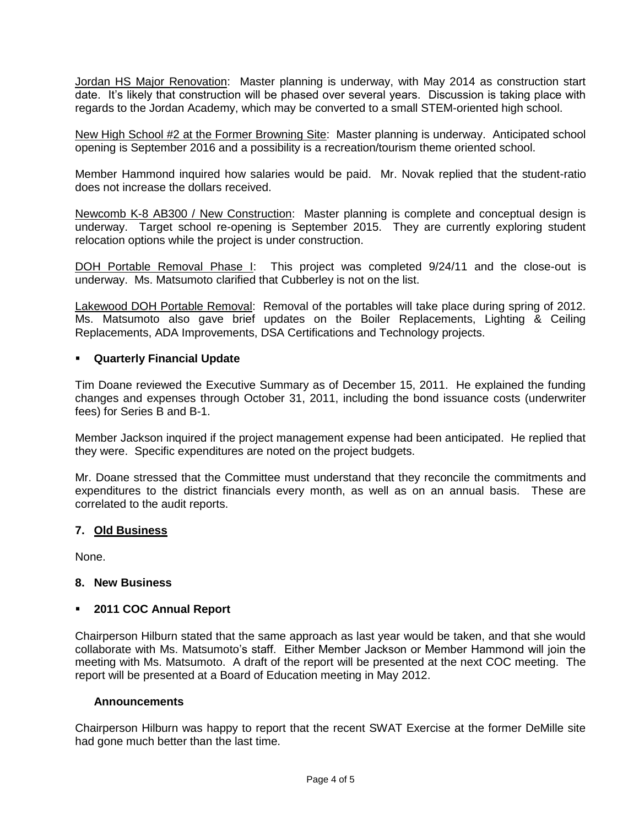Jordan HS Major Renovation: Master planning is underway, with May 2014 as construction start date. It's likely that construction will be phased over several years. Discussion is taking place with regards to the Jordan Academy, which may be converted to a small STEM-oriented high school.

New High School #2 at the Former Browning Site: Master planning is underway. Anticipated school opening is September 2016 and a possibility is a recreation/tourism theme oriented school.

Member Hammond inquired how salaries would be paid. Mr. Novak replied that the student-ratio does not increase the dollars received.

Newcomb K-8 AB300 / New Construction: Master planning is complete and conceptual design is underway. Target school re-opening is September 2015. They are currently exploring student relocation options while the project is under construction.

DOH Portable Removal Phase I: This project was completed 9/24/11 and the close-out is underway. Ms. Matsumoto clarified that Cubberley is not on the list.

Lakewood DOH Portable Removal: Removal of the portables will take place during spring of 2012. Ms. Matsumoto also gave brief updates on the Boiler Replacements, Lighting & Ceiling Replacements, ADA Improvements, DSA Certifications and Technology projects.

## **Quarterly Financial Update**

Tim Doane reviewed the Executive Summary as of December 15, 2011. He explained the funding changes and expenses through October 31, 2011, including the bond issuance costs (underwriter fees) for Series B and B-1.

Member Jackson inquired if the project management expense had been anticipated. He replied that they were. Specific expenditures are noted on the project budgets.

Mr. Doane stressed that the Committee must understand that they reconcile the commitments and expenditures to the district financials every month, as well as on an annual basis. These are correlated to the audit reports.

## **7. Old Business**

None.

## **8. New Business**

## **2011 COC Annual Report**

Chairperson Hilburn stated that the same approach as last year would be taken, and that she would collaborate with Ms. Matsumoto's staff. Either Member Jackson or Member Hammond will join the meeting with Ms. Matsumoto. A draft of the report will be presented at the next COC meeting. The report will be presented at a Board of Education meeting in May 2012.

## **Announcements**

Chairperson Hilburn was happy to report that the recent SWAT Exercise at the former DeMille site had gone much better than the last time.